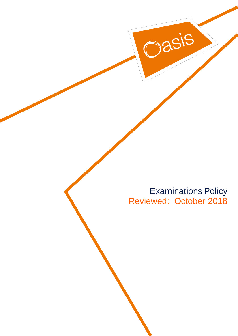Examinations Policy Reviewed: October 2018

Dasis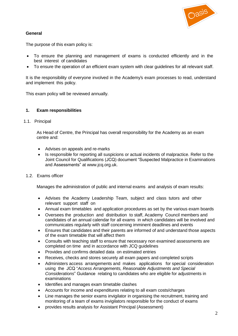

# **General**

The purpose of this exam policy is:

- To ensure the planning and management of exams is conducted efficiently and in the best interest of candidates
- To ensure the operation of an efficient exam system with clear guidelines for all relevant staff.

It is the responsibility of everyone involved in the Academy's exam processes to read, understand and implement this policy.

This exam policy will be reviewed annually.

## **1. Exam responsibilities**

1.1. Principal

As Head of Centre, the Principal has overall responsibility for the Academy as an exam centre and:

- Advises on appeals and re-marks
- Is responsible for reporting all suspicions or actual incidents of malpractice. Refer to the Joint Council for Qualifications (JCQ) document "Suspected Malpractice in Examinations and Assessments" at [www.jcq.org.uk.](http://www.jcq.org.uk/)
- 1.2. Exams officer

Manages the administration of public and internal exams and analysis of exam results:

- Advises the Academy Leadership Team, subject and class tutors and other relevant support staff on
- Annual exam timetables and application procedures as set by the various exam boards
- Oversees the production and distribution to staff, Academy Council members and candidates of an annual calendar for all exams in which candidates will be involved and communicates regularly with staff concerning imminent deadlines and events
- Ensures that candidates and their parents are informed of and understand those aspects of the exam timetable that will affect them
- Consults with teaching staff to ensure that necessary non examined assessments are completed on time and in accordance with JCQ guidelines
- Provides and confirms detailed data on estimated entries
- Receives, checks and stores securely all exam papers and completed scripts
- Administers access arrangements and makes applications for special consideration using the JCQ "*Access Arrangements, Reasonable Adjustments and Special Considerations*" Guidance relating to candidates who are eligible for adjustments in examinations
- Identifies and manages exam timetable clashes
- Accounts for income and expenditures relating to all exam costs/charges
- Line manages the senior exams invigilator in organising the recruitment, training and monitoring of a team of exams invigilators responsible for the conduct of exams
- provides results analysis for Assistant Principal (Assessment)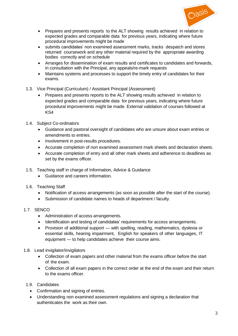

- Prepares and presents reports to the ALT showing results achieved in relation to expected grades and comparable data for previous years, indicating where future procedural improvements might be made
- submits candidates' non examined assessment marks, tracks despatch and stores returned coursework and any other material required by the appropriate awarding bodies correctly and on schedule
- Arranges for dissemination of exam results and certificates to candidates and forwards, in consultation with the Principal, any appeals/re-mark requests
- Maintains systems and processes to support the timely entry of candidates for their exams.
- 1.3. Vice Principal (Curriculum) / Assistant Principal (Assessment)
	- Prepares and presents reports to the ALT showing results achieved in relation to expected grades and comparable data for previous years, indicating where future procedural improvements might be made. External validation of courses followed at KS4
- 1.4. Subject Co-ordinators
	- Guidance and pastoral oversight of candidates who are unsure about exam entries or amendments to entries.
	- Involvement in post-results procedures.
	- Accurate completion of non examined assessment mark sheets and declaration sheets.
	- Accurate completion of entry and all other mark sheets and adherence to deadlines as set by the exams officer.
- 1.5. Teaching staff in charge of Information, Advice & Guidance
	- Guidance and careers information.
- 1.6. Teaching Staff
	- Notification of access arrangements (as soon as possible after the start of the course).
	- Submission of candidate names to heads of department / faculty.
- 1.7. SENCO
	- Administration of access arrangements.
	- Identification and testing of candidates' requirements for access arrangements.
	- Provision of additional support with spelling, reading, mathematics, dyslexia or essential skills, hearing impairment, English for speakers of other languages, IT equipment — to help candidates achieve their course aims.
- 1.8. Lead invigilator/invigilators
	- Collection of exam papers and other material from the exams officer before the start of the exam.
	- Collection of all exam papers in the correct order at the end of the exam and their return to the exams officer.
- 1.9. Candidates
	- Confirmation and signing of entries.
	- Understanding non examined assessment regulations and signing a declaration that authenticates the work as their own.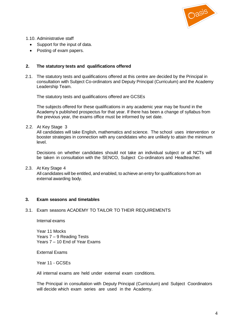

1.10. Administrative staff

- Support for the input of data.
- Posting of exam papers.

### **2. The statutory tests and qualifications offered**

2.1. The statutory tests and qualifications offered at this centre are decided by the Principal in consultation with Subject Co-ordinators and Deputy Principal (Curriculum) and the Academy Leadership Team.

The statutory tests and qualifications offered are GCSEs

The subjects offered for these qualifications in any academic year may be found in the Academy's published prospectus for that year. If there has been a change of syllabus from the previous year, the exams office must be informed by set date.

2.2. At Key Stage 3

All candidates will take English, mathematics and science. The school uses intervention or booster strategies in connection with any candidates who are unlikely to attain the minimum level.

Decisions on whether candidates should not take an individual subject or all NCTs will be taken in consultation with the SENCO, Subject Co-ordinators and Headteacher.

#### 2.3. At Key Stage 4

All candidates will be entitled, and enabled, to achieve an entry for qualifications from an external awarding body.

#### **3. Exam seasons and timetables**

#### 3.1. Exam seasons ACADEMY TO TAILOR TO THEIR REQUIREMENTS

Internal exams

Year 11 Mocks Years 7 – 9 Reading Tests Years 7 – 10 End of Year Exams

External Exams

Year 11 - GCSEs

All internal exams are held under external exam conditions.

The Principal in consultation with Deputy Principal (Curriculum) and Subject Coordinators will decide which exam series are used in the Academy.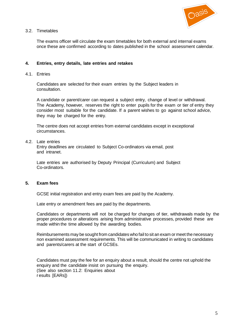

## 3.2. Timetables

The exams officer will circulate the exam timetables for both external and internal exams once these are confirmed according to dates published in the school assessment calendar.

## **4. Entries, entry details, late entries and retakes**

4.1. Entries

Candidates are selected for their exam entries by the Subject leaders in consultation.

A candidate or parent/carer can request a subject entry, change of level or withdrawal. The Academy, however, reserves the right to enter pupils for the exam or tier of entry they consider most suitable for the candidate. If a parent wishes to go against school advice, they may be charged for the entry.

The centre does not accept entries from external candidates except in exceptional circumstances.

4.2. Late entries

Entry deadlines are circulated to Subject Co-ordinators via email, post and intranet.

Late entries are authorised by Deputy Principal (Curriculum) and Subject Co-ordinators.

## **5. Exam fees**

GCSE initial registration and entry exam fees are paid by the Academy.

Late entry or amendment fees are paid by the departments.

Candidates or departments will not be charged for changes of tier, withdrawals made by the proper procedures or alterations arising from administrative processes, provided these are made within the time allowed by the awarding bodies.

Reimbursements may be sought from candidates who fail to sit an exam or meet the necessary non examined assessment requirements. This will be communicated in writing to candidates and parents/carers at the start of GCSEs.

Candidates must pay the fee for an enquiry about a result, should the centre not uphold the enquiry and the candidate insist on pursuing the enquiry. (See also section 11.2: Enquiries about r esults [EARs])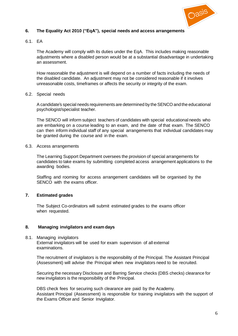

# **6. The Equality Act 2010 ("EqA"), special needs and access arrangements**

### 6.1. EA

The Academy will comply with its duties under the EqA. This includes making reasonable adjustments where a disabled person would be at a substantial disadvantage in undertaking an assessment.

How reasonable the adjustment is will depend on a number of facts including the needs of the disabled candidate. An adjustment may not be considered reasonable if it involves unreasonable costs, timeframes or affects the security or integrity of the exam.

## 6.2. Special needs

A candidate's special needs requirements are determined by the SENCO and the educational psychologist/specialist teacher.

The SENCO will inform subject teachers of candidates with special educational needs who are embarking on a course leading to an exam, and the date of that exam. The SENCO can then inform individual staff of any special arrangements that individual candidates may be granted during the course and in the exam.

### 6.3. Access arrangements

The Learning Support Department oversees the provision of special arrangements for candidates to take exams by submitting completed access arrangement applications to the awarding bodies.

Staffing and rooming for access arrangement candidates will be organised by the SENCO with the exams officer.

## **7. Estimated grades**

The Subject Co-ordinators will submit estimated grades to the exams officer when requested.

## **8. Managing invigilators and exam days**

8.1. Managing invigilators External invigilators will be used for exam supervision of all external examinations.

The recruitment of invigilators is the responsibility of the Principal. The Assistant Principal (Assessment) will advise the Principal when new invigilators need to be recruited.

Securing the necessary Disclosure and Barring Service checks (DBS checks) clearance for new invigilators is the responsibility of the Principal.

DBS check fees for securing such clearance are paid by the Academy. Assistant Principal (Assessment) is responsible for training invigilators with the support of the Exams Officer and Senior Invigilator.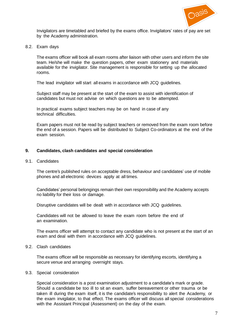

Invigilators are timetabled and briefed by the exams office. Invigilators' rates of pay are set by the Academy administration.

8.2. Exam days

The exams officer will book all exam rooms after liaison with other users and inform the site team. He/she will make the question papers, other exam stationery and materials available for the invigilator. Site management is responsible for setting up the allocated rooms.

The lead invigilator will start all exams in accordance with JCQ guidelines.

Subject staff may be present at the start of the exam to assist with identification of candidates but must not advise on which questions are to be attempted.

In practical exams subject teachers may be on hand in case of any technical difficulties.

Exam papers must not be read by subject teachers or removed from the exam room before the end of a session. Papers will be distributed to Subject Co-ordinators at the end of the exam session.

### **9. Candidates, clash candidates and special consideration**

### 9.1. Candidates

The centre's published rules on acceptable dress, behaviour and candidates' use of mobile phones and all electronic devices apply at all times.

Candidates' personal belongings remain their own responsibility and the Academy accepts no liability for their loss or damage.

Disruptive candidates will be dealt with in accordance with JCQ guidelines.

Candidates will not be allowed to leave the exam room before the end of an examination.

The exams officer will attempt to contact any candidate who is not present at the start of an exam and deal with them in accordance with JCQ guidelines.

9.2. Clash candidates

The exams officer will be responsible as necessary for identifying escorts, identifying a secure venue and arranging overnight stays.

### 9.3. Special consideration

Special consideration is a post examination adjustment to a candidate's mark or grade. Should a candidate be too ill to sit an exam, suffer bereavement or other trauma or be taken ill during the exam itself, it is the candidate's responsibility to alert the Academy, or the exam invigilator, to that effect. The exams officer will discuss all special considerations with the Assistant Principal (Assessment) on the day of the exam.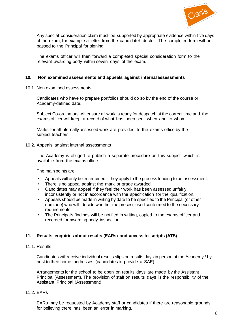

Any special consideration claim must be supported by appropriate evidence within five days of the exam, for example a letter from the candidate's doctor. The completed form will be passed to the Principal for signing.

The exams officer will then forward a completed special consideration form to the relevant awarding body within seven days of the exam.

## **10. Non examined assessments and appeals against internal assessments**

10.1. Non examined assessments

Candidates who have to prepare portfolios should do so by the end of the course or Academy-defined date.

Subject Co-ordinators will ensure all work is ready for despatch at the correct time and the exams officer will keep a record of what has been sent when and to whom.

Marks for all internally assessed work are provided to the exams office by the subject teachers.

### 10.2. Appeals against internal assessments

The Academy is obliged to publish a separate procedure on this subject, which is available from the exams office.

The main points are:

- Appeals will only be entertained if they apply to the process leading to an assessment.
- There is no appeal against the mark or grade awarded.
- Candidates may appeal if they feel their work has been assessed unfairly, inconsistently or not in accordance with the specification for the qualification.
- Appeals should be made in writing by date to be specified to the Principal (or other nominee) who will decide whether the process used conformed to the necessary requirements.
- The Principal's findings will be notified in writing, copied to the exams officer and recorded for awarding body inspection.

## **11. Results, enquiries about results (EARs) and access to scripts (ATS)**

11.1. Results

Candidates will receive individual results slips on results days in person at the Academy / by post to their home addresses (candidates to provide a SAE).

Arrangements for the school to be open on results days are made by the Assistant Principal (Assessment). The provision of staff on results days is the responsibility of the Assistant Principal (Assessment).

#### 11.2. EARs

EARs may be requested by Academy staff or candidates if there are reasonable grounds for believing there has been an error in marking.